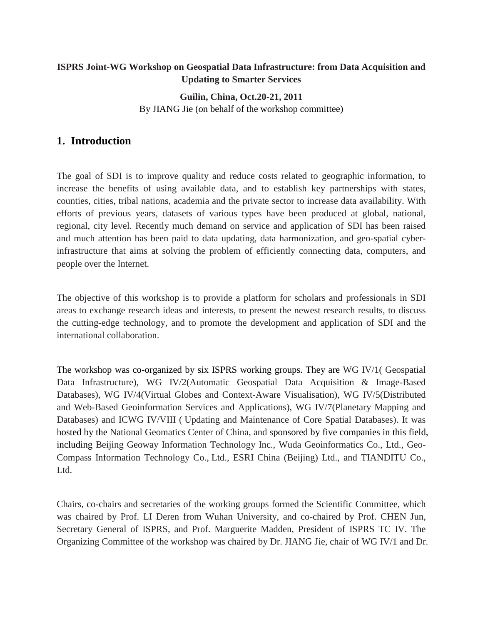#### **ISPRS Joint-WG Workshop on Geospatial Data Infrastructure: from Data Acquisition and Updating to Smarter Services**

### **Guilin, China, Oct.20-21, 2011** By JIANG Jie (on behalf of the workshop committee)

## **1. Introduction**

The goal of SDI is to improve quality and reduce costs related to geographic information, to increase the benefits of using available data, and to establish key partnerships with states, counties, cities, tribal nations, academia and the private sector to increase data availability. With efforts of previous years, datasets of various types have been produced at global, national, regional, city level. Recently much demand on service and application of SDI has been raised and much attention has been paid to data updating, data harmonization, and geo-spatial cyberinfrastructure that aims at solving the problem of efficiently connecting data, computers, and people over the [Internet.](http://en.wikipedia.org/wiki/Internet)

The objective of this workshop is to provide a platform for scholars and professionals in SDI areas to exchange research ideas and interests, to present the newest research results, to discuss the cutting-edge technology, and to promote the development and application of SDI and the international collaboration.

The workshop was co-organized by six ISPRS working groups. They are [WG IV/1\( Geospatial](http://www.commission4.isprs.org/wg1/)  [Data Infrastructure\)](http://www.commission4.isprs.org/wg1/), [WG IV/2\(Automatic Geospatial Data Acquisition & Image-Based](http://www.commission4.isprs.org/wg2/)  [Databases\)](http://www.commission4.isprs.org/wg2/), [WG IV/4\(Virtual Globes and Context-Aware Visualisation\)](http://www.commission4.isprs.org/wg4/), [WG IV/5\(Distributed](http://www.commission4.isprs.org/wg5/)  [and Web-Based Geoinformation Services](http://www.commission4.isprs.org/wg5/) and Applications), [WG IV/7\(Planetary Mapping and](http://www.commission4.isprs.org/wg7/)  [Databases\)](http://www.commission4.isprs.org/wg7/) and ICWG IV/VIII ( [Updating and Maintenance of Core Spatial Databases\)](http://www.commission4.isprs.org/icwg4_8). It was hosted by the National Geomatics Center of China, and sponsored by five companies in this field, including Beijing Geoway Information Technology Inc., Wuda Geoinformatics Co., Ltd., Geo-Compass Information Technology Co., Ltd., ESRI China (Beijing) Ltd., and TIANDITU Co., Ltd.

Chairs, co-chairs and secretaries of the working groups formed the Scientific Committee, which was chaired by Prof. LI Deren from Wuhan University, and co-chaired by Prof. CHEN Jun, Secretary General of ISPRS, and Prof. Marguerite Madden, President of ISPRS TC IV. The Organizing Committee of the workshop was chaired by Dr. JIANG Jie, chair of WG IV/1 and Dr.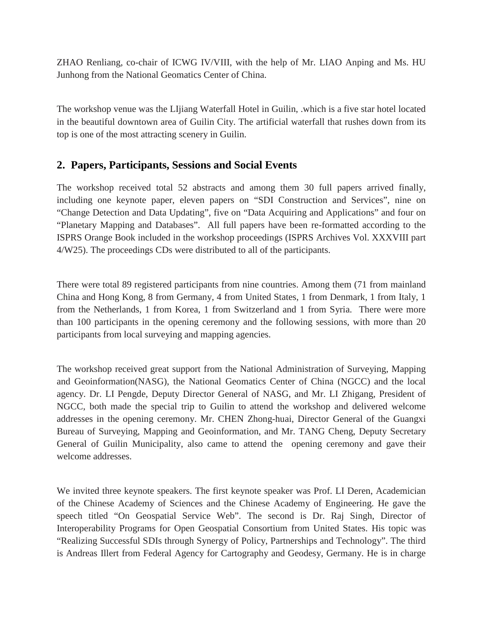ZHAO Renliang, co-chair of ICWG IV/VIII, with the help of Mr. LIAO Anping and Ms. HU Junhong from the National Geomatics Center of China.

The workshop venue was the LIjiang Waterfall Hotel in Guilin, .which is a five star hotel located in the beautiful downtown area of Guilin City. The artificial waterfall that rushes down from its top is one of the most attracting scenery in Guilin.

#### **2. Papers, Participants, Sessions and Social Events**

The workshop received total 52 abstracts and among them 30 full papers arrived finally, including one keynote paper, eleven papers on "SDI Construction and Services", nine on "Change Detection and Data Updating", five on "Data Acquiring and Applications" and four on "Planetary Mapping and Databases". All full papers have been re-formatted according to the ISPRS Orange Book included in the workshop proceedings (ISPRS Archives Vol. XXXVIII part 4/W25). The proceedings CDs were distributed to all of the participants.

There were total 89 registered participants from nine countries. Among them (71 from mainland China and Hong Kong, 8 from Germany, 4 from United States, 1 from Denmark, 1 from Italy, 1 from the Netherlands, 1 from Korea, 1 from Switzerland and 1 from Syria. There were more than 100 participants in the opening ceremony and the following sessions, with more than 20 participants from local surveying and mapping agencies.

The workshop received great support from the National Administration of Surveying, Mapping and Geoinformation(NASG), the National Geomatics Center of China (NGCC) and the local agency. Dr. LI Pengde, Deputy Director General of NASG, and Mr. LI Zhigang, President of NGCC, both made the special trip to Guilin to attend the workshop and delivered welcome addresses in the opening ceremony. Mr. CHEN Zhong-huai, Director General of the Guangxi Bureau of Surveying, Mapping and Geoinformation, and Mr. TANG Cheng, Deputy Secretary General of Guilin Municipality, also came to attend the opening ceremony and gave their welcome addresses.

We invited three keynote speakers. The first keynote speaker was Prof. LI Deren, Academician of the Chinese Academy of Sciences and the Chinese Academy of Engineering. He gave the speech titled "On Geospatial Service Web". The second is Dr. Raj Singh, Director of Interoperability Programs for Open Geospatial Consortium from United States. His topic was "Realizing Successful SDIs through Synergy of Policy, Partnerships and Technology". The third is Andreas Illert from Federal Agency for Cartography and Geodesy, Germany. He is in charge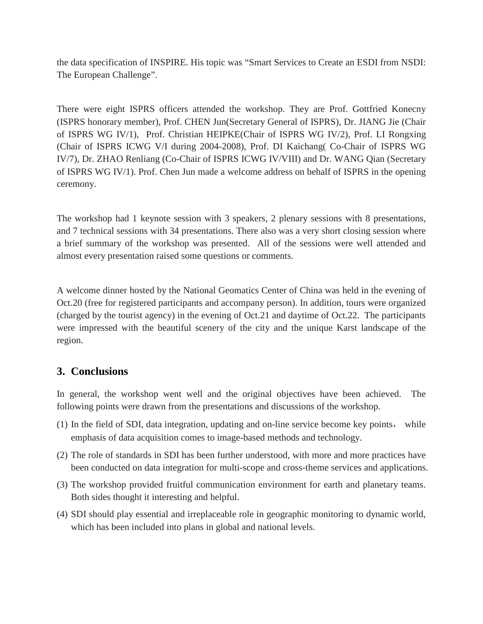the data specification of INSPIRE. His topic was "Smart Services to Create an ESDI from NSDI: The European Challenge".

There were eight ISPRS officers attended the workshop. They are Prof. Gottfried Konecny (ISPRS honorary member), Prof. CHEN Jun(Secretary General of ISPRS), Dr. JIANG Jie (Chair of ISPRS WG IV/1), Prof. Christian HEIPKE(Chair of ISPRS WG IV/2), Prof. LI Rongxing (Chair of ISPRS ICWG V/I during 2004-2008), Prof. DI Kaichang( Co-Chair of ISPRS WG IV/7), Dr. ZHAO Renliang (Co-Chair of ISPRS ICWG IV/VIII) and Dr. WANG Qian (Secretary of ISPRS WG IV/1). Prof. Chen Jun made a welcome address on behalf of ISPRS in the opening ceremony.

The workshop had 1 keynote session with 3 speakers, 2 plenary sessions with 8 presentations, and 7 technical sessions with 34 presentations. There also was a very short closing session where a brief summary of the workshop was presented. All of the sessions were well attended and almost every presentation raised some questions or comments.

A welcome dinner hosted by the National Geomatics Center of China was held in the evening of Oct.20 (free for registered participants and accompany person). In addition, tours were organized (charged by the tourist agency) in the evening of Oct.21 and daytime of Oct.22. The participants were impressed with the beautiful scenery of the city and the unique Karst landscape of the region.

# **3. Conclusions**

In general, the workshop went well and the original objectives have been achieved. The following points were drawn from the presentations and discussions of the workshop.

- (1) In the field of SDI, data integration, updating and on-line service become key points, while emphasis of data acquisition comes to image-based methods and technology.
- (2) The role of standards in SDI has been further understood, with more and more practices have been conducted on data integration for multi-scope and cross-theme services and applications.
- (3) The workshop provided fruitful communication environment for earth and planetary teams. Both sides thought it interesting and helpful.
- (4) SDI should play essential and irreplaceable role in geographic monitoring to dynamic world, which has been included into plans in global and national levels.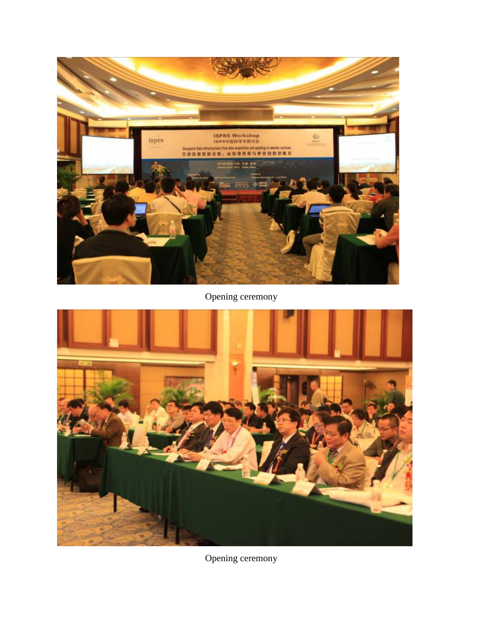

Opening ceremony



Opening ceremony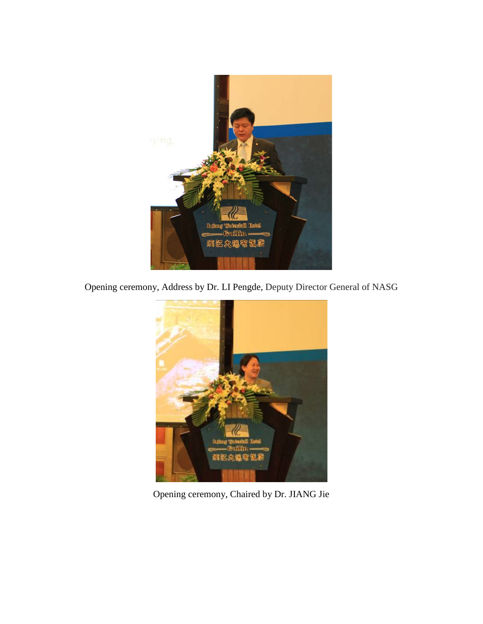

Opening ceremony, Address by Dr. LI Pengde, Deputy Director General of NASG



Opening ceremony, Chaired by Dr. JIANG Jie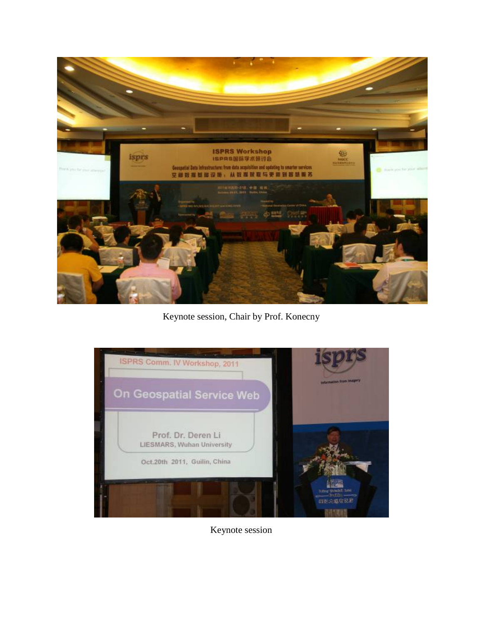

Keynote session, Chair by Prof. Konecny



Keynote session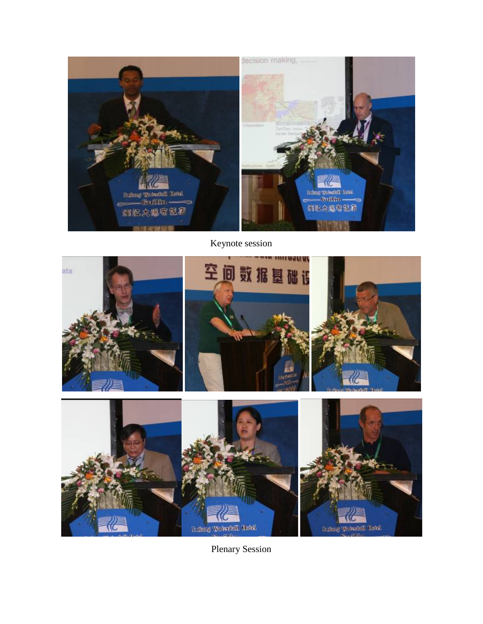

Keynote session



Plenary Session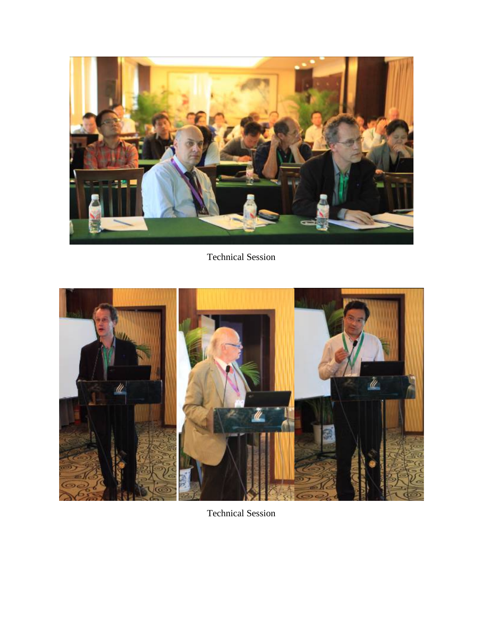

Technical Session



Technical Session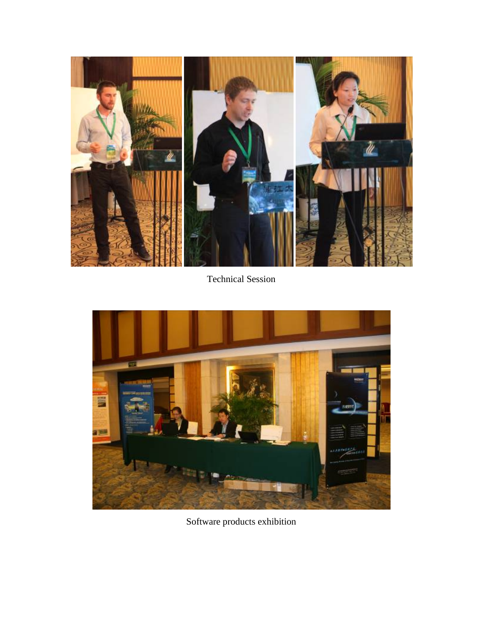

Technical Session



Software products exhibition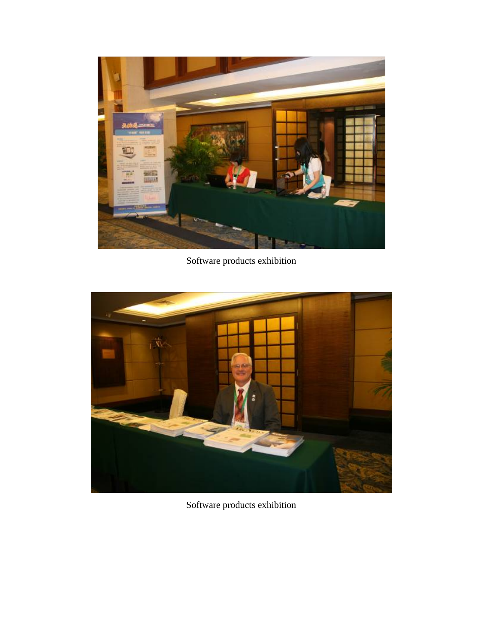

Software products exhibition



Software products exhibition